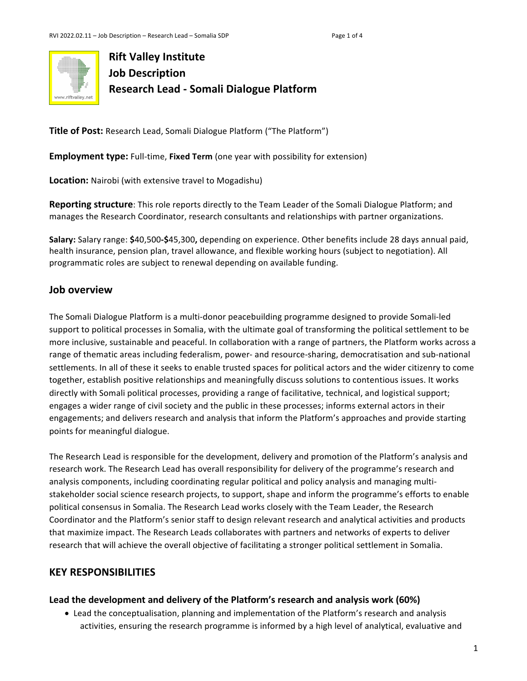

# **Rift Valley Institute Job Description Research Lead - Somali Dialogue Platform**

**Title of Post:** Research Lead, Somali Dialogue Platform ("The Platform")

**Employment type:** Full-time, Fixed Term (one year with possibility for extension)

**Location:** Nairobi (with extensive travel to Mogadishu)

**Reporting structure**: This role reports directly to the Team Leader of the Somali Dialogue Platform; and manages the Research Coordinator, research consultants and relationships with partner organizations.

**Salary:** Salary range: \$40,500-\$45,300, depending on experience. Other benefits include 28 days annual paid, health insurance, pension plan, travel allowance, and flexible working hours (subject to negotiation). All programmatic roles are subject to renewal depending on available funding.

#### **Job overview**

The Somali Dialogue Platform is a multi-donor peacebuilding programme designed to provide Somali-led support to political processes in Somalia, with the ultimate goal of transforming the political settlement to be more inclusive, sustainable and peaceful. In collaboration with a range of partners, the Platform works across a range of thematic areas including federalism, power- and resource-sharing, democratisation and sub-national settlements. In all of these it seeks to enable trusted spaces for political actors and the wider citizenry to come together, establish positive relationships and meaningfully discuss solutions to contentious issues. It works directly with Somali political processes, providing a range of facilitative, technical, and logistical support; engages a wider range of civil society and the public in these processes; informs external actors in their engagements; and delivers research and analysis that inform the Platform's approaches and provide starting points for meaningful dialogue.

The Research Lead is responsible for the development, delivery and promotion of the Platform's analysis and research work. The Research Lead has overall responsibility for delivery of the programme's research and analysis components, including coordinating regular political and policy analysis and managing multistakeholder social science research projects, to support, shape and inform the programme's efforts to enable political consensus in Somalia. The Research Lead works closely with the Team Leader, the Research Coordinator and the Platform's senior staff to design relevant research and analytical activities and products that maximize impact. The Research Leads collaborates with partners and networks of experts to deliver research that will achieve the overall objective of facilitating a stronger political settlement in Somalia.

### **KEY RESPONSIBILITIES**

#### Lead the development and delivery of the Platform's research and analysis work (60%)

• Lead the conceptualisation, planning and implementation of the Platform's research and analysis activities, ensuring the research programme is informed by a high level of analytical, evaluative and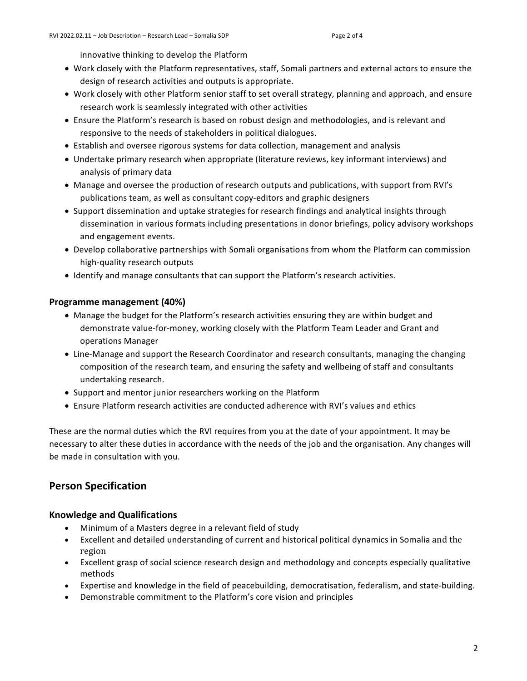innovative thinking to develop the Platform

- Work closely with the Platform representatives, staff, Somali partners and external actors to ensure the design of research activities and outputs is appropriate.
- Work closely with other Platform senior staff to set overall strategy, planning and approach, and ensure research work is seamlessly integrated with other activities
- Ensure the Platform's research is based on robust design and methodologies, and is relevant and responsive to the needs of stakeholders in political dialogues.
- Establish and oversee rigorous systems for data collection, management and analysis
- Undertake primary research when appropriate (literature reviews, key informant interviews) and analysis of primary data
- Manage and oversee the production of research outputs and publications, with support from RVI's publications team, as well as consultant copy-editors and graphic designers
- Support dissemination and uptake strategies for research findings and analytical insights through dissemination in various formats including presentations in donor briefings, policy advisory workshops and engagement events.
- Develop collaborative partnerships with Somali organisations from whom the Platform can commission high-quality research outputs
- Identify and manage consultants that can support the Platform's research activities.

#### **Programme management (40%)**

- Manage the budget for the Platform's research activities ensuring they are within budget and demonstrate value-for-money, working closely with the Platform Team Leader and Grant and operations Manager
- Line-Manage and support the Research Coordinator and research consultants, managing the changing composition of the research team, and ensuring the safety and wellbeing of staff and consultants undertaking research.
- Support and mentor junior researchers working on the Platform
- Ensure Platform research activities are conducted adherence with RVI's values and ethics

These are the normal duties which the RVI requires from you at the date of your appointment. It may be necessary to alter these duties in accordance with the needs of the job and the organisation. Any changes will be made in consultation with you.

## **Person Specification**

#### **Knowledge and Qualifications**

- Minimum of a Masters degree in a relevant field of study
- Excellent and detailed understanding of current and historical political dynamics in Somalia and the region
- Excellent grasp of social science research design and methodology and concepts especially qualitative methods
- Expertise and knowledge in the field of peacebuilding, democratisation, federalism, and state-building.
- Demonstrable commitment to the Platform's core vision and principles